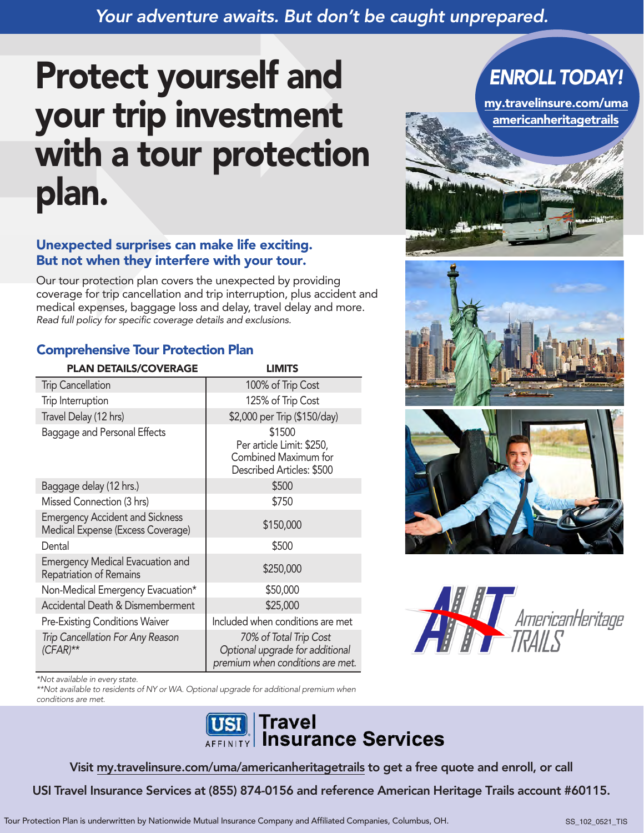## *Your adventure awaits. But don't be caught unprepared.*

# Protect yourself and your trip investment with a tour protection plan.

#### Unexpected surprises can make life exciting. But not when they interfere with your tour.

Our tour protection plan covers the unexpected by providing coverage for trip cancellation and trip interruption, plus accident and medical expenses, baggage loss and delay, travel delay and more. *Read full policy for specific coverage details and exclusions.*

#### Comprehensive Tour Protection Plan

| <b>PLAN DETAILS/COVERAGE</b>                                                | <b>LIMITS</b>                                                                                 |
|-----------------------------------------------------------------------------|-----------------------------------------------------------------------------------------------|
| <b>Trip Cancellation</b>                                                    | 100% of Trip Cost                                                                             |
| Trip Interruption                                                           | 125% of Trip Cost                                                                             |
| Travel Delay (12 hrs)                                                       | \$2,000 per Trip (\$150/day)                                                                  |
| Baggage and Personal Effects                                                | \$1500<br>Per article Limit: \$250,<br>Combined Maximum for<br>Described Articles: \$500      |
| Baggage delay (12 hrs.)                                                     | \$500                                                                                         |
| Missed Connection (3 hrs)                                                   | \$750                                                                                         |
| <b>Emergency Accident and Sickness</b><br>Medical Expense (Excess Coverage) | \$150,000                                                                                     |
| Dental                                                                      | \$500                                                                                         |
| <b>Emergency Medical Evacuation and</b><br>Repatriation of Remains          | \$250,000                                                                                     |
| Non-Medical Emergency Evacuation*                                           | \$50,000                                                                                      |
| Accidental Death & Dismemberment                                            | \$25,000                                                                                      |
| <b>Pre-Existing Conditions Waiver</b>                                       | Included when conditions are met                                                              |
| Trip Cancellation For Any Reason<br>$(CFAR)$ **                             | 70% of Total Trip Cost<br>Optional upgrade for additional<br>premium when conditions are met. |

\*Not available in every state.

\*\*Not available to residents of NY or WA. Optional upgrade for additional premium when conditions are met.



Visit my.travelinsure.com/uma/americanheritagetrails to get a free quote and enroll, or call

USI Travel Insurance Services at (855) 874-0156 and reference American Heritage Trails account #60115.



# *ENROLL TODAY!*

my.travelinsure.com/uma americanheritagetrails